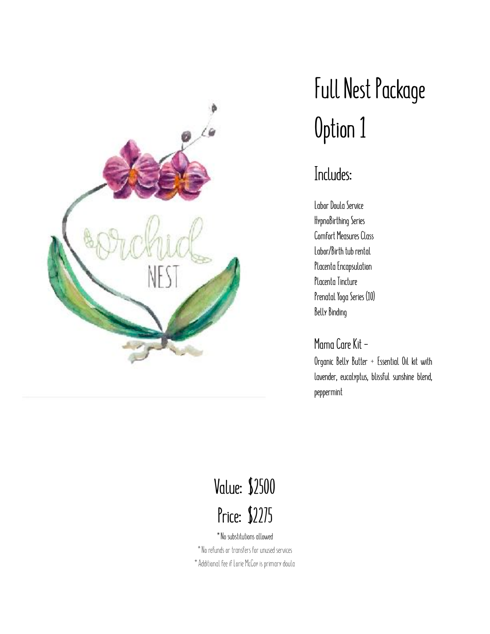

## **Full Nest Package Option 1**

#### **Includes:**

**Labor Doula Service HypnoBirthing Series Comfort Measures Class Labor/Birth tub rental Placenta Encapsulation Placenta Tincture Prenatal Yoga Series (10) Belly Binding** 

**Mama Care Kit -** 

**Organic Belly Butter + Essential Oil kit with lavender, eucalyptus, blissful sunshine blend, peppermint** 

## **Value: \$2500 Price: \$2275**

\*No substitutions allowed \*No refunds or transfers for unused services \*Additional fee if Lorie McCoy is primary doula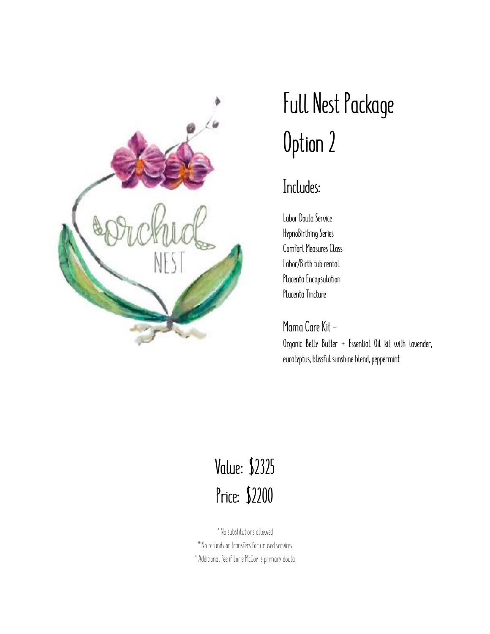

## **Full Nest Package Option 2**

### **Includes:**

**Labor Doula Service HypnoBirthing Series Comfort Measures Class Labor/Birth tub rental Placenta Encapsulation Placenta Tincture** 

**Mama Care Kit - Organic Belly Butter + Essential Oil kit with lavender, eucalyptus, blissful sunshine blend, peppermint** 

### **Value: \$2325 Price: \$2200**

\*No substitutions allowed \*No refunds or transfers for unused services \*Additional fee if Lorie McCoy is primary doula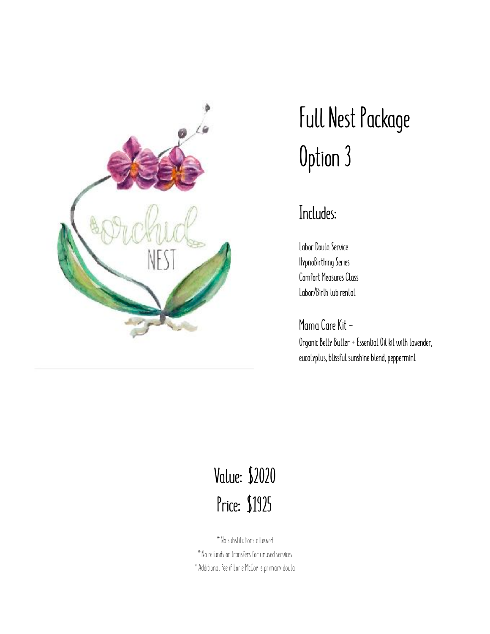

## **Full Nest Package Option 3**

#### **Includes:**

**Labor Doula Service HypnoBirthing Series Comfort Measures Class Labor/Birth tub rental** 

**Mama Care Kit -** 

**Organic Belly Butter + Essential Oil kit with lavender, eucalyptus, blissful sunshine blend, peppermint** 

### **Value: \$2020 Price: \$1925**

\*No substitutions allowed \*No refunds or transfers for unused services \*Additional fee if Lorie McCoy is primary doula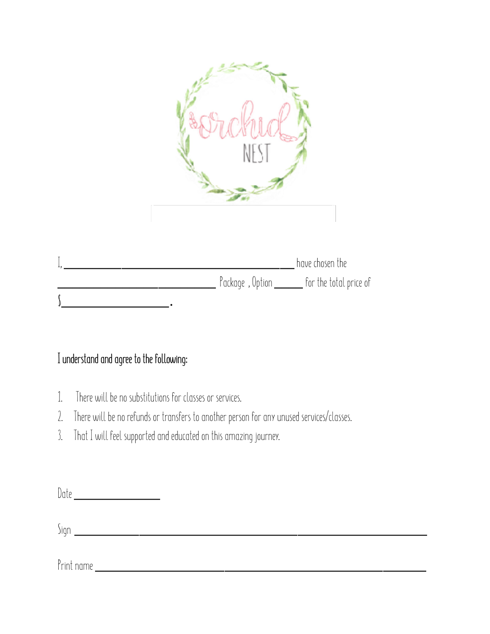

|  | have chosen the                                  |
|--|--------------------------------------------------|
|  | Package, Option _________ for the total price of |
|  |                                                  |

#### **I understand and agree to the following:**

- 1. There will be no substitutions for classes or services.
- 2. There will be no refunds or transfers to another person for any unused services/classes.
- 3. That I will feel supported and educated on this amazing journey.

Date \_\_\_\_\_\_\_\_\_\_\_\_

Sign \_\_\_\_\_\_\_\_\_\_\_\_\_\_\_\_\_\_\_\_\_\_\_\_\_\_\_\_\_\_\_\_\_\_\_\_\_\_\_\_\_\_\_\_\_\_\_\_\_

Print name \_\_\_\_\_\_\_\_\_\_\_\_\_\_\_\_\_\_\_\_\_\_\_\_\_\_\_\_\_\_\_\_\_\_\_\_\_\_\_\_\_\_\_\_\_\_